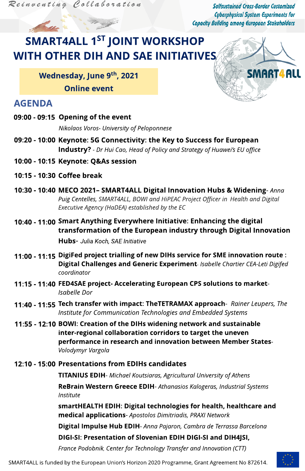Reinventing Collaboration

Selfsustained Cross-Border Customized **Cyberphysical System Experiments for Capacity Building among European Stakeholders** 

SMART4ALL

# **SMART4ALL 1ST JOINT WORKSHOP WITH OTHER DIH AND SAE INITIATIVES**

Wednesday, June 9th, 2021

**Online event** 

### **AGENDA**

09:00 - 09:15 Opening of the event

Nikolaos Voros- University of Peloponnese

- 09:20 10:00 Keynote: 5G Connectivity: the Key to Success for European **Industry?** - Dr Hui Cao, Head of Policy and Strategy of Huawei's EU office
- 10:00 10:15 Keynote: Q&As session
- 10:15 10:30 Coffee break
- 10:30 10:40 MECO 2021- SMART4ALL Digital Innovation Hubs & Widening-Anna Puig Centelles, SMART4ALL, BOWI and HiPEAC Project Officer in Health and Digital Executive Agency (HaDEA) established by the EC
- 10:40 11:00 Smart Anything Everywhere Initiative: Enhancing the digital transformation of the European industry through Digital Innovation

Hubs- Julia Koch, SAE Initiative

- 11:00 11:15 DigiFed project trialling of new DIHs service for SME innovation route : Digital Challenges and Generic Experiment- Isabelle Chartier CEA-Leti Digifed coordinator
- 11:15 11:40 FED4SAE project- Accelerating European CPS solutions to market-*Isabelle Dor*
- 11:40 11:55 Tech transfer with impact: TheTETRAMAX approach- Rainer Leupers, The Institute for Communication Technologies and Embedded Systems

11:55 - 12:10 BOWI: Creation of the DIHs widening network and sustainable inter-regional collaboration corridors to target the uneven performance in research and innovation between Member States-

Volodymyr Vargola

#### 12:10 - 15:00 Presentations from EDIHs candidates

**TITANIUS EDIH-** Michael Koutsiaras, Agricultural University of Athens

ReBrain Western Greece EDIH- Athanasios Kalogeras, Industrial Systems Institute

smartHEALTH EDIH: Digital technologies for health, healthcare and medical applications- Apostolos Dimitriadis, PRAXI Network

Digital Impulse Hub EDIH- Anna Pajaron, Cambra de Terrassa Barcelona

DIGI-SI: Presentation of Slovenian EDIH DIGI-SI and DIH4JSI,

France Podobnik, Center for Technology Transfer and Innovation (CTT)



SMART4ALL is funded by the European Union's Horizon 2020 Programme, Grant Agreement No 872614.